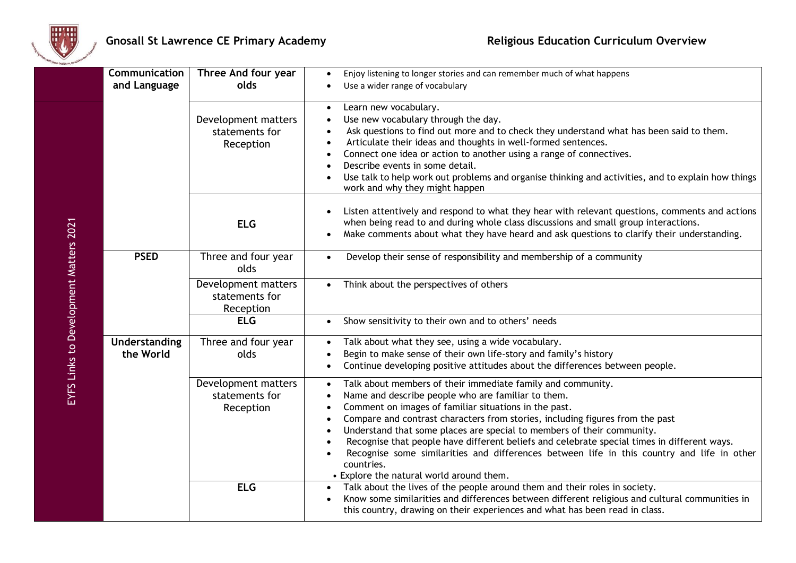

| Communication              | Three And four year                                | Enjoy listening to longer stories and can remember much of what happens<br>$\bullet$                                                                                                                                                                                                                                                                                                                                                                                                                                                                                                                                                                          |
|----------------------------|----------------------------------------------------|---------------------------------------------------------------------------------------------------------------------------------------------------------------------------------------------------------------------------------------------------------------------------------------------------------------------------------------------------------------------------------------------------------------------------------------------------------------------------------------------------------------------------------------------------------------------------------------------------------------------------------------------------------------|
| and Language               | olds                                               | Use a wider range of vocabulary                                                                                                                                                                                                                                                                                                                                                                                                                                                                                                                                                                                                                               |
|                            | Development matters<br>statements for<br>Reception | Learn new vocabulary.<br>$\bullet$<br>Use new vocabulary through the day.<br>Ask questions to find out more and to check they understand what has been said to them.<br>Articulate their ideas and thoughts in well-formed sentences.<br>Connect one idea or action to another using a range of connectives.<br>Describe events in some detail.<br>Use talk to help work out problems and organise thinking and activities, and to explain how things<br>work and why they might happen                                                                                                                                                                       |
|                            | <b>ELG</b>                                         | Listen attentively and respond to what they hear with relevant questions, comments and actions<br>when being read to and during whole class discussions and small group interactions.<br>Make comments about what they have heard and ask questions to clarify their understanding.                                                                                                                                                                                                                                                                                                                                                                           |
| <b>PSED</b>                | Three and four year<br>olds                        | Develop their sense of responsibility and membership of a community<br>$\bullet$                                                                                                                                                                                                                                                                                                                                                                                                                                                                                                                                                                              |
|                            | Development matters<br>statements for<br>Reception | Think about the perspectives of others<br>$\bullet$                                                                                                                                                                                                                                                                                                                                                                                                                                                                                                                                                                                                           |
|                            | <b>ELG</b>                                         | Show sensitivity to their own and to others' needs<br>$\bullet$                                                                                                                                                                                                                                                                                                                                                                                                                                                                                                                                                                                               |
| Understanding<br>the World | Three and four year<br>olds                        | Talk about what they see, using a wide vocabulary.<br>$\bullet$<br>Begin to make sense of their own life-story and family's history<br>$\bullet$<br>Continue developing positive attitudes about the differences between people.<br>$\bullet$                                                                                                                                                                                                                                                                                                                                                                                                                 |
|                            | Development matters<br>statements for<br>Reception | Talk about members of their immediate family and community.<br>$\bullet$<br>Name and describe people who are familiar to them.<br>$\bullet$<br>Comment on images of familiar situations in the past.<br>$\bullet$<br>Compare and contrast characters from stories, including figures from the past<br>$\bullet$<br>Understand that some places are special to members of their community.<br>$\bullet$<br>Recognise that people have different beliefs and celebrate special times in different ways.<br>Recognise some similarities and differences between life in this country and life in other<br>countries.<br>• Explore the natural world around them. |
|                            | <b>ELG</b>                                         | Talk about the lives of the people around them and their roles in society.<br>$\bullet$<br>Know some similarities and differences between different religious and cultural communities in<br>this country, drawing on their experiences and what has been read in class.                                                                                                                                                                                                                                                                                                                                                                                      |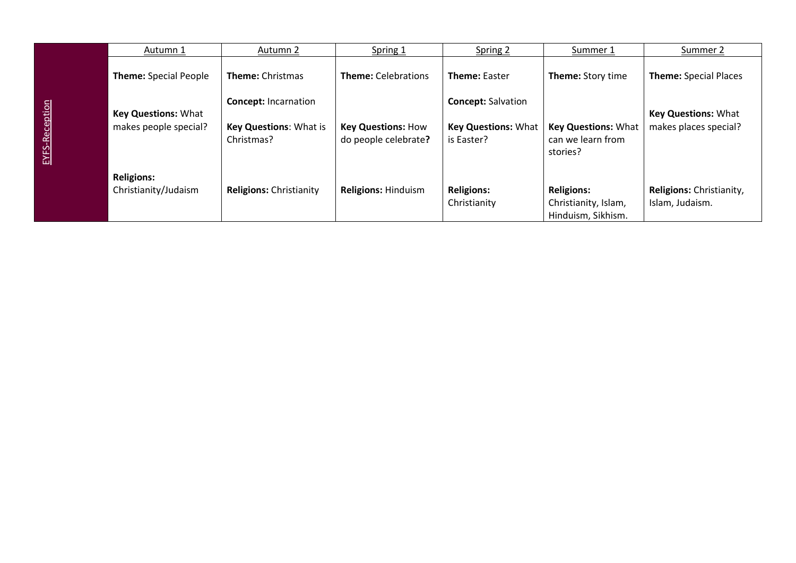| Autumn 1                     | Autumn 2                                    | Spring 1                                          | Spring 2                                 | Summer 1                                        | Summer 2                     |
|------------------------------|---------------------------------------------|---------------------------------------------------|------------------------------------------|-------------------------------------------------|------------------------------|
| <b>Theme:</b> Special People | <b>Theme: Christmas</b>                     | <b>Theme: Celebrations</b>                        | <b>Theme: Easter</b>                     | Theme: Story time                               | <b>Theme: Special Places</b> |
|                              | <b>Concept: Incarnation</b>                 |                                                   | <b>Concept: Salvation</b>                |                                                 |                              |
| <b>Key Questions: What</b>   |                                             |                                                   |                                          |                                                 | <b>Key Questions: What</b>   |
| makes people special?        | <b>Key Questions: What is</b><br>Christmas? | <b>Key Questions: How</b><br>do people celebrate? | <b>Key Questions: What</b><br>is Easter? | <b>Key Questions: What</b><br>can we learn from | makes places special?        |
|                              |                                             |                                                   |                                          | stories?                                        |                              |
|                              |                                             |                                                   |                                          |                                                 |                              |
| <b>Religions:</b>            |                                             |                                                   |                                          |                                                 |                              |
| Christianity/Judaism         | <b>Religions: Christianity</b>              | <b>Religions: Hinduism</b>                        | <b>Religions:</b>                        | <b>Religions:</b>                               | Religions: Christianity,     |
|                              |                                             |                                                   | Christianity                             | Christianity, Islam,                            | Islam, Judaism.              |
|                              |                                             |                                                   |                                          | Hinduism, Sikhism.                              |                              |

EYFS-Reception

EYFS-Reception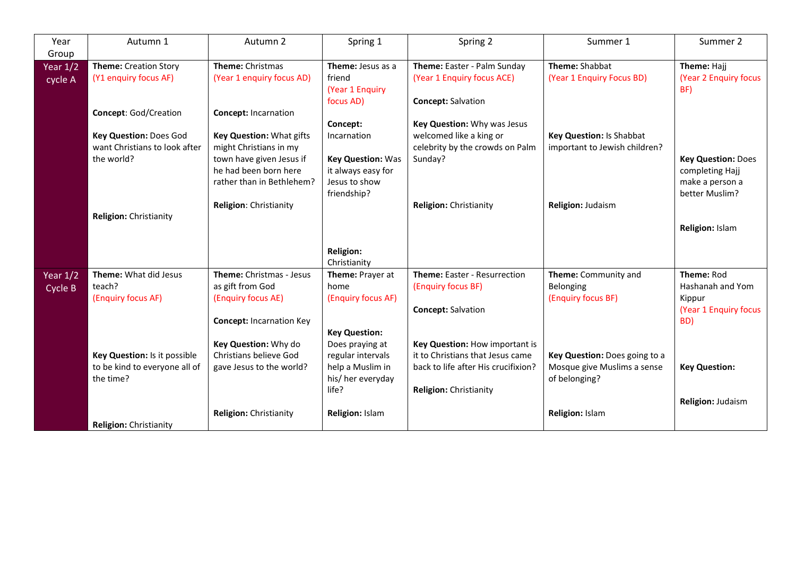| Year                  | Autumn 1                                                                                                                        | Autumn 2                                                                                                                                                                                      | Spring 1                                                                                                       | Spring 2                                                                                                                                   | Summer 1                                                                       | Summer 2                                                                                             |
|-----------------------|---------------------------------------------------------------------------------------------------------------------------------|-----------------------------------------------------------------------------------------------------------------------------------------------------------------------------------------------|----------------------------------------------------------------------------------------------------------------|--------------------------------------------------------------------------------------------------------------------------------------------|--------------------------------------------------------------------------------|------------------------------------------------------------------------------------------------------|
| Group                 |                                                                                                                                 |                                                                                                                                                                                               |                                                                                                                |                                                                                                                                            |                                                                                |                                                                                                      |
| Year $1/2$<br>cycle A | <b>Theme:</b> Creation Story<br>(Y1 enquiry focus AF)                                                                           | <b>Theme: Christmas</b><br>(Year 1 enquiry focus AD)                                                                                                                                          | Theme: Jesus as a<br>friend<br>(Year 1 Enquiry<br>focus AD)                                                    | Theme: Easter - Palm Sunday<br>(Year 1 Enquiry focus ACE)<br><b>Concept: Salvation</b>                                                     | Theme: Shabbat<br>(Year 1 Enquiry Focus BD)                                    | Theme: Hajj<br>(Year 2 Enquiry focus<br>BF)                                                          |
|                       | Concept: God/Creation<br>Key Question: Does God<br>want Christians to look after<br>the world?<br><b>Religion: Christianity</b> | <b>Concept: Incarnation</b><br>Key Question: What gifts<br>might Christians in my<br>town have given Jesus if<br>he had been born here<br>rather than in Bethlehem?<br>Religion: Christianity | Concept:<br>Incarnation<br><b>Key Question: Was</b><br>it always easy for<br>Jesus to show<br>friendship?      | Key Question: Why was Jesus<br>welcomed like a king or<br>celebrity by the crowds on Palm<br>Sunday?<br><b>Religion: Christianity</b>      | Key Question: Is Shabbat<br>important to Jewish children?<br>Religion: Judaism | <b>Key Question: Does</b><br>completing Hajj<br>make a person a<br>better Muslim?<br>Religion: Islam |
|                       |                                                                                                                                 |                                                                                                                                                                                               | <b>Religion:</b><br>Christianity                                                                               |                                                                                                                                            |                                                                                |                                                                                                      |
| Year $1/2$<br>Cycle B | Theme: What did Jesus<br>teach?<br>(Enquiry focus AF)                                                                           | Theme: Christmas - Jesus<br>as gift from God<br>(Enquiry focus AE)<br><b>Concept: Incarnation Key</b>                                                                                         | Theme: Prayer at<br>home<br>(Enquiry focus AF)                                                                 | Theme: Easter - Resurrection<br>(Enquiry focus BF)<br><b>Concept: Salvation</b>                                                            | Theme: Community and<br>Belonging<br>(Enquiry focus BF)                        | Theme: Rod<br>Hashanah and Yom<br>Kippur<br>(Year 1 Enquiry focus<br>BD)                             |
|                       | Key Question: Is it possible<br>to be kind to everyone all of<br>the time?                                                      | Key Question: Why do<br>Christians believe God<br>gave Jesus to the world?                                                                                                                    | <b>Key Question:</b><br>Does praying at<br>regular intervals<br>help a Muslim in<br>his/ her everyday<br>life? | Key Question: How important is<br>it to Christians that Jesus came<br>back to life after His crucifixion?<br><b>Religion: Christianity</b> | Key Question: Does going to a<br>Mosque give Muslims a sense<br>of belonging?  | <b>Key Question:</b><br>Religion: Judaism                                                            |
|                       | <b>Religion: Christianity</b>                                                                                                   | <b>Religion: Christianity</b>                                                                                                                                                                 | Religion: Islam                                                                                                |                                                                                                                                            | Religion: Islam                                                                |                                                                                                      |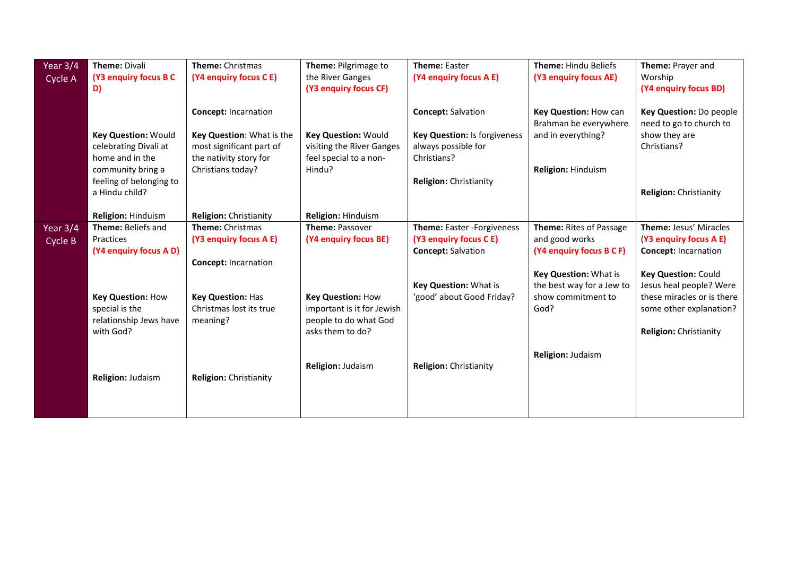| Year 3/4<br>Cycle A | <b>Theme: Divali</b><br>(Y3 enquiry focus B C<br>D)             | Theme: Christmas<br>(Y4 enquiry focus C E)            | Theme: Pilgrimage to<br>the River Ganges<br>(Y3 enquiry focus CF) | <b>Theme: Easter</b><br>(Y4 enquiry focus A E)      | Theme: Hindu Beliefs<br>(Y3 enquiry focus AE)  | Theme: Prayer and<br>Worship<br>(Y4 enquiry focus BD) |
|---------------------|-----------------------------------------------------------------|-------------------------------------------------------|-------------------------------------------------------------------|-----------------------------------------------------|------------------------------------------------|-------------------------------------------------------|
|                     |                                                                 | <b>Concept: Incarnation</b>                           |                                                                   | <b>Concept: Salvation</b>                           | Key Question: How can<br>Brahman be everywhere | Key Question: Do people<br>need to go to church to    |
|                     | <b>Key Question: Would</b><br>celebrating Divali at             | Key Question: What is the<br>most significant part of | <b>Key Question: Would</b><br>visiting the River Ganges           | Key Question: Is forgiveness<br>always possible for | and in everything?                             | show they are<br>Christians?                          |
|                     | home and in the<br>community bring a<br>feeling of belonging to | the nativity story for<br>Christians today?           | feel special to a non-<br>Hindu?                                  | Christians?<br><b>Religion: Christianity</b>        | Religion: Hinduism                             |                                                       |
|                     | a Hindu child?                                                  |                                                       |                                                                   |                                                     |                                                | Religion: Christianity                                |
|                     | Religion: Hinduism                                              | <b>Religion: Christianity</b>                         | Religion: Hinduism                                                |                                                     |                                                |                                                       |
| Year 3/4            | Theme: Beliefs and                                              | <b>Theme: Christmas</b>                               | <b>Theme: Passover</b>                                            | Theme: Easter - Forgiveness                         | Theme: Rites of Passage                        | Theme: Jesus' Miracles                                |
| Cycle B             | Practices                                                       | (Y3 enquiry focus A E)                                | (Y4 enquiry focus BE)                                             | (Y3 enquiry focus C E)                              | and good works                                 | (Y3 enquiry focus A E)                                |
|                     | (Y4 enquiry focus A D)                                          |                                                       |                                                                   | <b>Concept: Salvation</b>                           | (Y4 enquiry focus B C F)                       | <b>Concept: Incarnation</b>                           |
|                     |                                                                 | <b>Concept: Incarnation</b>                           |                                                                   |                                                     |                                                |                                                       |
|                     |                                                                 |                                                       |                                                                   |                                                     | Key Question: What is                          | Key Question: Could                                   |
|                     |                                                                 |                                                       |                                                                   | Key Question: What is                               | the best way for a Jew to                      | Jesus heal people? Were                               |
|                     | <b>Key Question: How</b>                                        | <b>Key Question: Has</b>                              | <b>Key Question: How</b>                                          | 'good' about Good Friday?                           | show commitment to                             | these miracles or is there                            |
|                     | special is the                                                  | Christmas lost its true                               | important is it for Jewish                                        |                                                     | God?                                           | some other explanation?                               |
|                     | relationship Jews have                                          | meaning?                                              | people to do what God                                             |                                                     |                                                |                                                       |
|                     | with God?                                                       |                                                       | asks them to do?                                                  |                                                     |                                                | Religion: Christianity                                |
|                     |                                                                 |                                                       |                                                                   |                                                     | Religion: Judaism                              |                                                       |
|                     |                                                                 |                                                       | Religion: Judaism                                                 | <b>Religion: Christianity</b>                       |                                                |                                                       |
|                     | <b>Religion: Judaism</b>                                        | Religion: Christianity                                |                                                                   |                                                     |                                                |                                                       |
|                     |                                                                 |                                                       |                                                                   |                                                     |                                                |                                                       |
|                     |                                                                 |                                                       |                                                                   |                                                     |                                                |                                                       |
|                     |                                                                 |                                                       |                                                                   |                                                     |                                                |                                                       |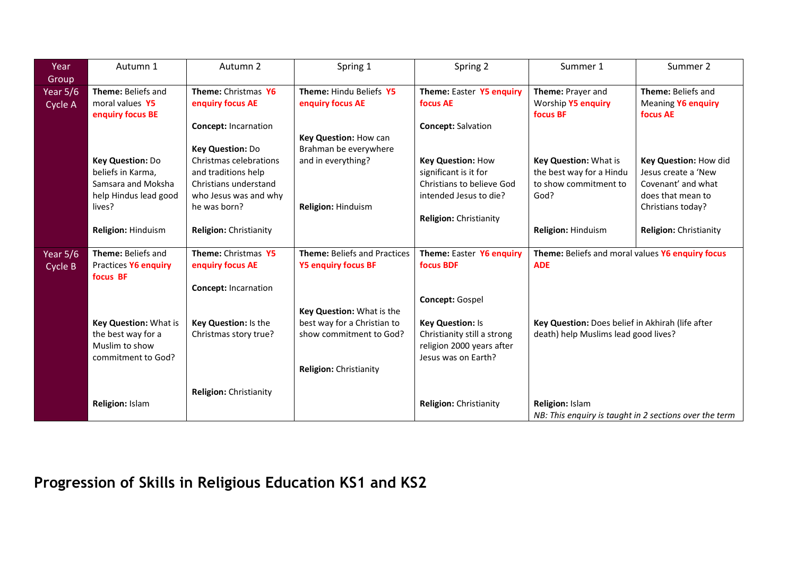| Year       | Autumn 1                         | Autumn 2                      | Spring 1                            | Spring 2                      | Summer 1                                               | Summer 2               |
|------------|----------------------------------|-------------------------------|-------------------------------------|-------------------------------|--------------------------------------------------------|------------------------|
| Group      |                                  |                               |                                     |                               |                                                        |                        |
| Year $5/6$ | Theme: Beliefs and               | Theme: Christmas Y6           | Theme: Hindu Beliefs Y5             | Theme: Easter Y5 enquiry      | Theme: Prayer and                                      | Theme: Beliefs and     |
| Cycle A    | moral values Y5                  | enquiry focus AE              | enquiry focus AE                    | focus AE                      | Worship Y5 enquiry                                     | Meaning Y6 enquiry     |
|            | enquiry focus BE                 |                               |                                     |                               | focus BF                                               | focus AE               |
|            |                                  | <b>Concept: Incarnation</b>   |                                     | <b>Concept: Salvation</b>     |                                                        |                        |
|            |                                  |                               | Key Question: How can               |                               |                                                        |                        |
|            |                                  | Key Question: Do              | Brahman be everywhere               |                               |                                                        |                        |
|            | Key Question: Do                 | Christmas celebrations        | and in everything?                  | <b>Key Question: How</b>      | Key Question: What is                                  | Key Question: How did  |
|            | beliefs in Karma,                | and traditions help           |                                     | significant is it for         | the best way for a Hindu                               | Jesus create a 'New    |
|            | Samsara and Moksha               | Christians understand         |                                     | Christians to believe God     | to show commitment to                                  | Covenant' and what     |
|            | help Hindus lead good            | who Jesus was and why         |                                     | intended Jesus to die?        | God?                                                   | does that mean to      |
|            | lives?                           | he was born?                  | Religion: Hinduism                  |                               |                                                        | Christians today?      |
|            |                                  |                               |                                     | <b>Religion: Christianity</b> |                                                        |                        |
|            | <b>Religion: Hinduism</b>        | <b>Religion: Christianity</b> |                                     |                               | Religion: Hinduism                                     | Religion: Christianity |
|            |                                  |                               |                                     |                               |                                                        |                        |
| Year $5/6$ | Theme: Beliefs and               | Theme: Christmas Y5           | <b>Theme: Beliefs and Practices</b> | Theme: Easter Y6 enquiry      | Theme: Beliefs and moral values Y6 enquiry focus       |                        |
| Cycle B    | Practices Y6 enquiry<br>focus BF | enquiry focus AE              | <b>Y5 enquiry focus BF</b>          | focus BDF                     | <b>ADE</b>                                             |                        |
|            |                                  | <b>Concept: Incarnation</b>   |                                     |                               |                                                        |                        |
|            |                                  |                               |                                     | Concept: Gospel               |                                                        |                        |
|            |                                  |                               | Key Question: What is the           |                               |                                                        |                        |
|            | Key Question: What is            | Key Question: Is the          | best way for a Christian to         | <b>Key Question: Is</b>       | Key Question: Does belief in Akhirah (life after       |                        |
|            | the best way for a               | Christmas story true?         | show commitment to God?             | Christianity still a strong   | death) help Muslims lead good lives?                   |                        |
|            | Muslim to show                   |                               |                                     | religion 2000 years after     |                                                        |                        |
|            | commitment to God?               |                               |                                     | Jesus was on Earth?           |                                                        |                        |
|            |                                  |                               | <b>Religion: Christianity</b>       |                               |                                                        |                        |
|            |                                  |                               |                                     |                               |                                                        |                        |
|            |                                  | <b>Religion: Christianity</b> |                                     |                               |                                                        |                        |
|            | Religion: Islam                  |                               |                                     | Religion: Christianity        | Religion: Islam                                        |                        |
|            |                                  |                               |                                     |                               | NB: This enquiry is taught in 2 sections over the term |                        |

## **Progression of Skills in Religious Education KS1 and KS2**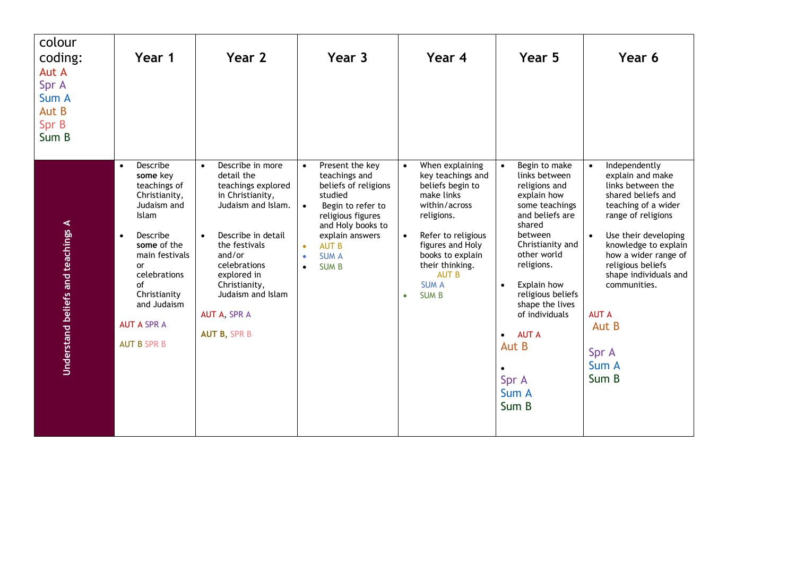| colour<br>coding:<br>Aut A<br>Spr A<br>Sum A<br>Aut B<br>Spr B<br>Sum B | Year 1                                                                                                                                                                                                                                                      | Year 2                                                                                                                                                                                                                                                                   | Year 3                                                                                                                                                                                                                                                                | Year 4                                                                                                                                                                                                                                                                       | Year 5                                                                                                                                                                                                                                                                                                              | Year 6                                                                                                                                                                                                                                                                                                                           |
|-------------------------------------------------------------------------|-------------------------------------------------------------------------------------------------------------------------------------------------------------------------------------------------------------------------------------------------------------|--------------------------------------------------------------------------------------------------------------------------------------------------------------------------------------------------------------------------------------------------------------------------|-----------------------------------------------------------------------------------------------------------------------------------------------------------------------------------------------------------------------------------------------------------------------|------------------------------------------------------------------------------------------------------------------------------------------------------------------------------------------------------------------------------------------------------------------------------|---------------------------------------------------------------------------------------------------------------------------------------------------------------------------------------------------------------------------------------------------------------------------------------------------------------------|----------------------------------------------------------------------------------------------------------------------------------------------------------------------------------------------------------------------------------------------------------------------------------------------------------------------------------|
| Understand beliefs and teachings A                                      | Describe<br>$\bullet$<br>some key<br>teachings of<br>Christianity,<br>Judaism and<br>Islam<br>Describe<br>$\bullet$<br>some of the<br>main festivals<br>or<br>celebrations<br>of<br>Christianity<br>and Judaism<br><b>AUT A SPR A</b><br><b>AUT B SPR B</b> | Describe in more<br>$\bullet$<br>detail the<br>teachings explored<br>in Christianity,<br>Judaism and Islam.<br>Describe in detail<br>the festivals<br>and/or<br>celebrations<br>explored in<br>Christianity,<br>Judaism and Islam<br>AUT A, SPR A<br><b>AUT B, SPR B</b> | Present the key<br>$\bullet$<br>teachings and<br>beliefs of religions<br>studied<br>Begin to refer to<br>$\bullet$<br>religious figures<br>and Holy books to<br>explain answers<br><b>AUT B</b><br>$\bullet$<br><b>SUM A</b><br>$\bullet$<br><b>SUMB</b><br>$\bullet$ | When explaining<br>$\bullet$<br>key teachings and<br>beliefs begin to<br>make links<br>within/across<br>religions.<br>Refer to religious<br>$\bullet$<br>figures and Holy<br>books to explain<br>their thinking.<br><b>AUT B</b><br><b>SUM A</b><br><b>SUMB</b><br>$\bullet$ | Begin to make<br>links between<br>religions and<br>explain how<br>some teachings<br>and beliefs are<br>shared<br>between<br>Christianity and<br>other world<br>religions.<br>Explain how<br>religious beliefs<br>shape the lives<br>of individuals<br><b>AUT A</b><br>$\bullet$<br>Aut B<br>Spr A<br>Sum A<br>Sum B | Independently<br>$\bullet$<br>explain and make<br>links between the<br>shared beliefs and<br>teaching of a wider<br>range of religions<br>Use their developing<br>knowledge to explain<br>how a wider range of<br>religious beliefs<br>shape individuals and<br>communities.<br><b>AUT A</b><br>Aut B<br>Spr A<br>Sum A<br>Sum B |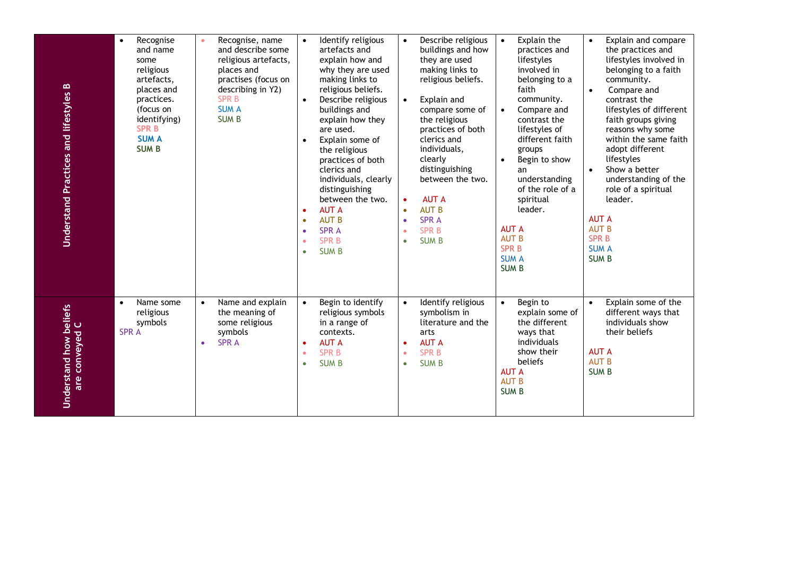| Understand Practices and lifestyles B    | Recognise<br>$\bullet$<br>and name<br>some<br>religious<br>artefacts,<br>places and<br>practices.<br>(focus on<br>identifying)<br><b>SPR B</b><br><b>SUM A</b><br><b>SUMB</b> | Recognise, name<br>and describe some<br>religious artefacts,<br>places and<br>practises (focus on<br>describing in Y2)<br><b>SPRB</b><br><b>SUM A</b><br><b>SUMB</b> | Identify religious<br>$\bullet$<br>artefacts and<br>explain how and<br>why they are used<br>making links to<br>religious beliefs.<br>Describe religious<br>$\bullet$<br>buildings and<br>explain how they<br>are used.<br>Explain some of<br>$\bullet$<br>the religious<br>practices of both<br>clerics and<br>individuals, clearly<br>distinguishing<br>between the two.<br><b>AUT A</b><br>$\bullet$<br><b>AUT B</b><br>$\bullet$<br><b>SPRA</b><br>$\bullet$<br><b>SPR B</b><br>$\bullet$<br><b>SUM B</b><br>$\bullet$ | Describe religious<br>$\bullet$<br>buildings and how<br>they are used<br>making links to<br>religious beliefs.<br>Explain and<br>$\bullet$<br>compare some of<br>the religious<br>practices of both<br>clerics and<br>individuals,<br>clearly<br>distinguishing<br>between the two.<br><b>AUT A</b><br>$\bullet$<br><b>AUT B</b><br>$\bullet$<br><b>SPRA</b><br>$\bullet$<br><b>SPRB</b><br>$\bullet$<br><b>SUMB</b><br>$\bullet$ | Explain the<br>$\bullet$<br>practices and<br>lifestyles<br>involved in<br>belonging to a<br>faith<br>community.<br>Compare and<br>$\bullet$<br>contrast the<br>lifestyles of<br>different faith<br>groups<br>Begin to show<br>$\bullet$<br>an<br>understanding<br>of the role of a<br>spiritual<br>leader.<br><b>AUT A</b><br><b>AUT B</b><br><b>SPRB</b><br><b>SUM A</b><br><b>SUMB</b> | Explain and compare<br>$\bullet$<br>the practices and<br>lifestyles involved in<br>belonging to a faith<br>community.<br>Compare and<br>$\bullet$<br>contrast the<br>lifestyles of different<br>faith groups giving<br>reasons why some<br>within the same faith<br>adopt different<br>lifestyles<br>Show a better<br>$\bullet$<br>understanding of the<br>role of a spiritual<br>leader.<br><b>AUT A</b><br><b>AUT B</b><br><b>SPRB</b><br><b>SUM A</b><br><b>SUMB</b> |
|------------------------------------------|-------------------------------------------------------------------------------------------------------------------------------------------------------------------------------|----------------------------------------------------------------------------------------------------------------------------------------------------------------------|---------------------------------------------------------------------------------------------------------------------------------------------------------------------------------------------------------------------------------------------------------------------------------------------------------------------------------------------------------------------------------------------------------------------------------------------------------------------------------------------------------------------------|-----------------------------------------------------------------------------------------------------------------------------------------------------------------------------------------------------------------------------------------------------------------------------------------------------------------------------------------------------------------------------------------------------------------------------------|------------------------------------------------------------------------------------------------------------------------------------------------------------------------------------------------------------------------------------------------------------------------------------------------------------------------------------------------------------------------------------------|-------------------------------------------------------------------------------------------------------------------------------------------------------------------------------------------------------------------------------------------------------------------------------------------------------------------------------------------------------------------------------------------------------------------------------------------------------------------------|
| Understand how beliefs<br>are conveyed C | Name some<br>$\bullet$<br>religious<br>symbols<br><b>SPRA</b>                                                                                                                 | Name and explain<br>$\bullet$<br>the meaning of<br>some religious<br>symbols<br><b>SPRA</b><br>$\bullet$                                                             | Begin to identify<br>$\bullet$<br>religious symbols<br>in a range of<br>contexts.<br><b>AUT A</b><br>$\bullet$<br><b>SPR B</b><br>$\bullet$<br><b>SUM B</b><br>$\bullet$                                                                                                                                                                                                                                                                                                                                                  | Identify religious<br>$\bullet$<br>symbolism in<br>literature and the<br>arts<br><b>AUT A</b><br>$\bullet$<br><b>SPRB</b><br>$\bullet$<br><b>SUMB</b><br>$\bullet$                                                                                                                                                                                                                                                                | Begin to<br>$\bullet$<br>explain some of<br>the different<br>ways that<br>individuals<br>show their<br>beliefs<br><b>AUT A</b><br><b>AUT B</b><br><b>SUMB</b>                                                                                                                                                                                                                            | Explain some of the<br>$\bullet$<br>different ways that<br>individuals show<br>their beliefs<br><b>AUT A</b><br><b>AUT B</b><br><b>SUMB</b>                                                                                                                                                                                                                                                                                                                             |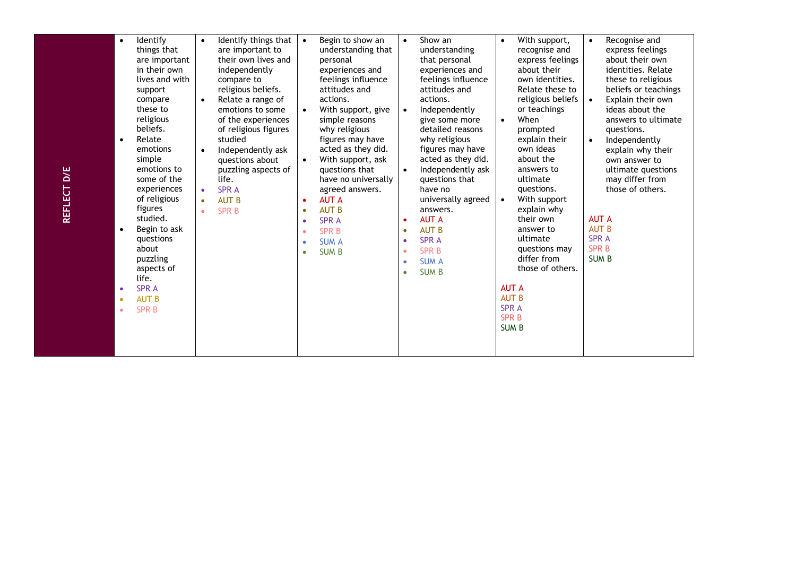| $\bullet$<br>×<br>×<br>$\bullet$ | things that<br>are important<br>in their own<br>lives and with<br>support<br>compare<br>these to<br>religious<br>beliefs.<br>Relate<br>emotions<br>simple<br>emotions to<br>some of the<br>experiences<br>of religious<br>figures<br>studied.<br>Begin to ask<br>questions<br>about<br>puzzling<br>aspects of<br>life. | $\bullet$<br>$\bullet$<br>$\bullet$<br>$\bullet$<br>$\bullet$ | are important to<br>their own lives and<br>independently<br>compare to<br>religious beliefs.<br>Relate a range of<br>emotions to some<br>of the experiences<br>of religious figures<br>studied<br>Independently ask<br>questions about<br>puzzling aspects of<br>life.<br><b>SPRA</b><br><b>AUT B</b><br><b>SPRB</b> | $\bullet$<br>$\bullet$<br>$\bullet$<br>$\bullet$<br>$\bullet$<br>$\bullet$<br>$\bullet$<br>$\bullet$ | understanding that<br>personal<br>experiences and<br>feelings influence<br>attitudes and<br>actions.<br>With support, give<br>simple reasons<br>why religious<br>figures may have<br>acted as they did.<br>With support, ask<br>questions that<br>have no universally<br>agreed answers.<br><b>AUT A</b><br><b>AUT B</b><br><b>SPRA</b><br><b>SPRB</b><br><b>SUM A</b><br><b>SUMB</b> | $\bullet$<br>$\bullet$<br>$\bullet$<br>$\bullet$<br>$\bullet$<br>$\bullet$<br>$\bullet$<br>$\bullet$ | understanding<br>that personal<br>experiences and<br>feelings influence<br>attitudes and<br>actions.<br>Independently<br>give some more<br>detailed reasons<br>why religious<br>figures may have<br>acted as they did.<br>Independently ask<br>questions that<br>have no<br>universally agreed<br>answers.<br><b>AUT A</b><br><b>AUT B</b><br><b>SPRA</b><br><b>SPRB</b><br><b>SUM A</b><br><b>SUM B</b> | $\bullet$<br>$\bullet$ | recognise and<br>express feelings<br>about their<br>own identities.<br>Relate these to<br>religious beliefs<br>or teachings<br>When<br>prompted<br>explain their<br>own ideas<br>about the<br>answers to<br>ultimate<br>questions.<br>With support<br>explain why<br>their own<br>answer to<br>ultimate<br>questions may<br>differ from<br>those of others. | $\bullet$<br>$\bullet$<br><b>AUT A</b><br><b>AUT B</b><br><b>SPRA</b><br><b>SPRB</b><br><b>SUMB</b> | express feelings<br>about their own<br>identities. Relate<br>these to religious<br>beliefs or teachings<br>Explain their own<br>ideas about the<br>answers to ultimate<br>questions.<br>Independently<br>explain why their<br>own answer to<br>ultimate questions<br>may differ from<br>those of others. |
|----------------------------------|------------------------------------------------------------------------------------------------------------------------------------------------------------------------------------------------------------------------------------------------------------------------------------------------------------------------|---------------------------------------------------------------|----------------------------------------------------------------------------------------------------------------------------------------------------------------------------------------------------------------------------------------------------------------------------------------------------------------------|------------------------------------------------------------------------------------------------------|---------------------------------------------------------------------------------------------------------------------------------------------------------------------------------------------------------------------------------------------------------------------------------------------------------------------------------------------------------------------------------------|------------------------------------------------------------------------------------------------------|----------------------------------------------------------------------------------------------------------------------------------------------------------------------------------------------------------------------------------------------------------------------------------------------------------------------------------------------------------------------------------------------------------|------------------------|-------------------------------------------------------------------------------------------------------------------------------------------------------------------------------------------------------------------------------------------------------------------------------------------------------------------------------------------------------------|-----------------------------------------------------------------------------------------------------|----------------------------------------------------------------------------------------------------------------------------------------------------------------------------------------------------------------------------------------------------------------------------------------------------------|
|----------------------------------|------------------------------------------------------------------------------------------------------------------------------------------------------------------------------------------------------------------------------------------------------------------------------------------------------------------------|---------------------------------------------------------------|----------------------------------------------------------------------------------------------------------------------------------------------------------------------------------------------------------------------------------------------------------------------------------------------------------------------|------------------------------------------------------------------------------------------------------|---------------------------------------------------------------------------------------------------------------------------------------------------------------------------------------------------------------------------------------------------------------------------------------------------------------------------------------------------------------------------------------|------------------------------------------------------------------------------------------------------|----------------------------------------------------------------------------------------------------------------------------------------------------------------------------------------------------------------------------------------------------------------------------------------------------------------------------------------------------------------------------------------------------------|------------------------|-------------------------------------------------------------------------------------------------------------------------------------------------------------------------------------------------------------------------------------------------------------------------------------------------------------------------------------------------------------|-----------------------------------------------------------------------------------------------------|----------------------------------------------------------------------------------------------------------------------------------------------------------------------------------------------------------------------------------------------------------------------------------------------------------|